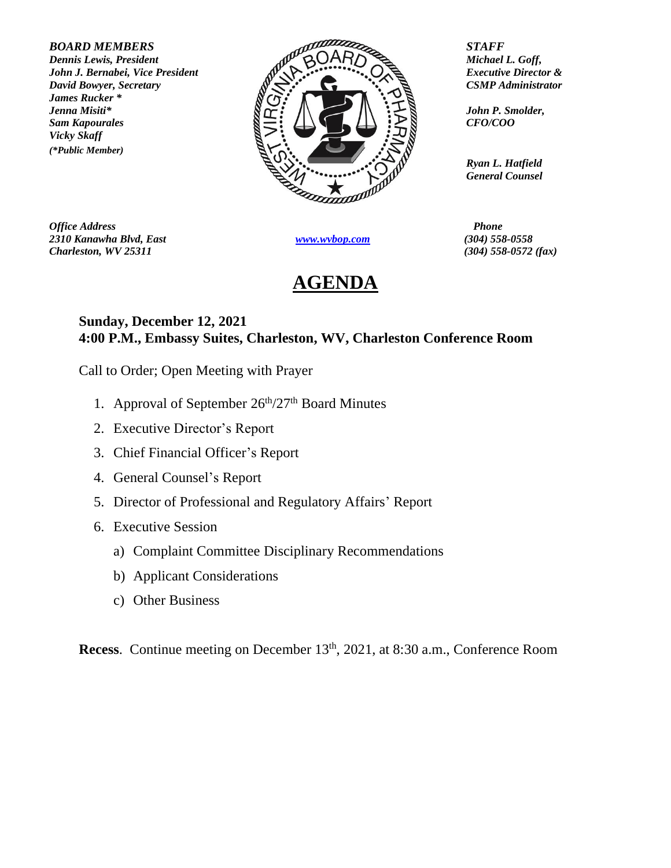*James Rucker \* Vicky Skaff (\*Public Member)*



*Office Address Phone 2310 Kanawha Blvd, East [www.wvbop.com](http://www.wvbop.com/) (304) 558-0558 Charleston, WV 25311 (304) 558-0572 (fax)*

## **AGENDA**

*Ryan L. Hatfield General Counsel*

## **Sunday, December 12, 2021 4:00 P.M., Embassy Suites, Charleston, WV, Charleston Conference Room**

Call to Order; Open Meeting with Prayer

- 1. Approval of September 26<sup>th</sup>/27<sup>th</sup> Board Minutes
- 2. Executive Director's Report
- 3. Chief Financial Officer's Report
- 4. General Counsel's Report
- 5. Director of Professional and Regulatory Affairs' Report
- 6. Executive Session
	- a) Complaint Committee Disciplinary Recommendations
	- b) Applicant Considerations
	- c) Other Business

**Recess**. Continue meeting on December 13<sup>th</sup>, 2021, at 8:30 a.m., Conference Room